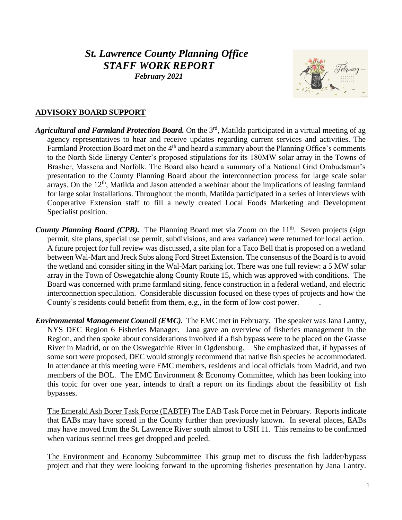# *St. Lawrence County Planning Office STAFF WORK REPORT*

*February 2021*



## **ADVISORY BOARD SUPPORT**

- *Agricultural and Farmland Protection Board.* On the 3rd, Matilda participated in a virtual meeting of ag agency representatives to hear and receive updates regarding current services and activities. The Farmland Protection Board met on the  $4<sup>th</sup>$  and heard a summary about the Planning Office's comments to the North Side Energy Center's proposed stipulations for its 180MW solar array in the Towns of Brasher, Massena and Norfolk. The Board also heard a summary of a National Grid Ombudsman's presentation to the County Planning Board about the interconnection process for large scale solar arrays. On the 12<sup>th</sup>, Matilda and Jason attended a webinar about the implications of leasing farmland for large solar installations. Throughout the month, Matilda participated in a series of interviews with Cooperative Extension staff to fill a newly created Local Foods Marketing and Development Specialist position.
- County Planning Board (CPB). The Planning Board met via Zoom on the 11<sup>th</sup>. Seven projects (sign permit, site plans, special use permit, subdivisions, and area variance) were returned for local action. A future project for full review was discussed, a site plan for a Taco Bell that is proposed on a wetland between Wal-Mart and Jreck Subs along Ford Street Extension. The consensus of the Board is to avoid the wetland and consider siting in the Wal-Mart parking lot. There was one full review: a 5 MW solar array in the Town of Oswegatchie along County Route 15, which was approved with conditions. The Board was concerned with prime farmland siting, fence construction in a federal wetland, and electric interconnection speculation. Considerable discussion focused on these types of projects and how the County's residents could benefit from them, e.g., in the form of low cost power. .
- *Environmental Management Council (EMC).* The EMC met in February. The speaker was Jana Lantry, NYS DEC Region 6 Fisheries Manager. Jana gave an overview of fisheries management in the Region, and then spoke about considerations involved if a fish bypass were to be placed on the Grasse River in Madrid, or on the Oswegatchie River in Ogdensburg. She emphasized that, if bypasses of some sort were proposed, DEC would strongly recommend that native fish species be accommodated. In attendance at this meeting were EMC members, residents and local officials from Madrid, and two members of the BOL. The EMC Environment & Economy Committee, which has been looking into this topic for over one year, intends to draft a report on its findings about the feasibility of fish bypasses.

The Emerald Ash Borer Task Force (EABTF) The EAB Task Force met in February. Reports indicate that EABs may have spread in the County further than previously known. In several places, EABs may have moved from the St. Lawrence River south almost to USH 11. This remains to be confirmed when various sentinel trees get dropped and peeled.

The Environment and Economy Subcommittee This group met to discuss the fish ladder/bypass project and that they were looking forward to the upcoming fisheries presentation by Jana Lantry.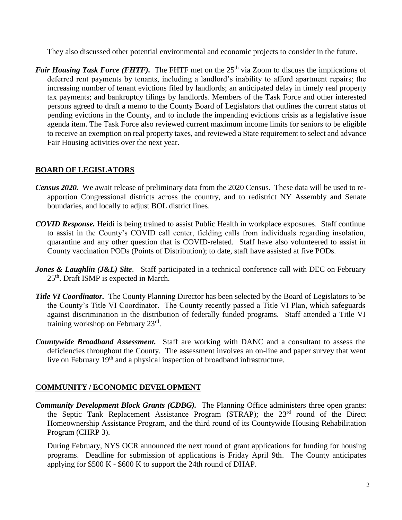They also discussed other potential environmental and economic projects to consider in the future.

*Fair Housing Task Force (FHTF)*. The FHTF met on the 25<sup>th</sup> via Zoom to discuss the implications of deferred rent payments by tenants, including a landlord's inability to afford apartment repairs; the increasing number of tenant evictions filed by landlords; an anticipated delay in timely real property tax payments; and bankruptcy filings by landlords. Members of the Task Force and other interested persons agreed to draft a memo to the County Board of Legislators that outlines the current status of pending evictions in the County, and to include the impending evictions crisis as a legislative issue agenda item. The Task Force also reviewed current maximum income limits for seniors to be eligible to receive an exemption on real property taxes, and reviewed a State requirement to select and advance Fair Housing activities over the next year.

## **BOARD OF LEGISLATORS**

- *Census 2020.* We await release of preliminary data from the 2020 Census. These data will be used to reapportion Congressional districts across the country, and to redistrict NY Assembly and Senate boundaries, and locally to adjust BOL district lines.
- *COVID Response.* Heidi is being trained to assist Public Health in workplace exposures. Staff continue to assist in the County's COVID call center, fielding calls from individuals regarding insolation, quarantine and any other question that is COVID-related. Staff have also volunteered to assist in County vaccination PODs (Points of Distribution); to date, staff have assisted at five PODs.
- *Jones & Laughlin (J&L) Site.* Staff participated in a technical conference call with DEC on February 25<sup>th</sup>. Draft ISMP is expected in March.
- *Title VI Coordinator.* The County Planning Director has been selected by the Board of Legislators to be the County's Title VI Coordinator. The County recently passed a Title VI Plan, which safeguards against discrimination in the distribution of federally funded programs. Staff attended a Title VI training workshop on February 23rd .
- *Countywide Broadband Assessment.* Staff are working with DANC and a consultant to assess the deficiencies throughout the County. The assessment involves an on-line and paper survey that went live on February 19<sup>th</sup> and a physical inspection of broadband infrastructure.

### **COMMUNITY / ECONOMIC DEVELOPMENT**

*Community Development Block Grants (CDBG).* The Planning Office administers three open grants: the Septic Tank Replacement Assistance Program (STRAP); the 23rd round of the Direct Homeownership Assistance Program, and the third round of its Countywide Housing Rehabilitation Program (CHRP 3).

During February, NYS OCR announced the next round of grant applications for funding for housing programs. Deadline for submission of applications is Friday April 9th. The County anticipates applying for \$500 K - \$600 K to support the 24th round of DHAP.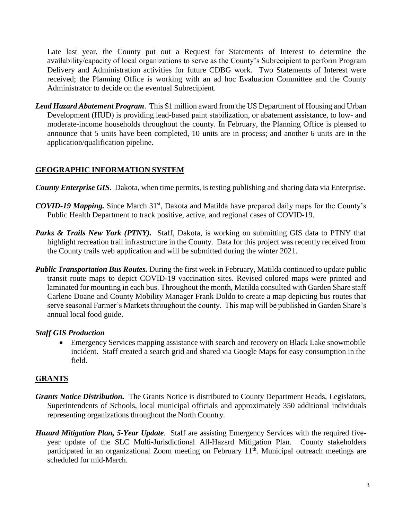Late last year, the County put out a Request for Statements of Interest to determine the availability/capacity of local organizations to serve as the County's Subrecipient to perform Program Delivery and Administration activities for future CDBG work. Two Statements of Interest were received; the Planning Office is working with an ad hoc Evaluation Committee and the County Administrator to decide on the eventual Subrecipient.

*Lead Hazard Abatement Program*. This \$1 million award from the US Department of Housing and Urban Development (HUD) is providing lead-based paint stabilization, or abatement assistance, to low- and moderate-income households throughout the county. In February, the Planning Office is pleased to announce that 5 units have been completed, 10 units are in process; and another 6 units are in the application/qualification pipeline.

# **GEOGRAPHIC INFORMATION SYSTEM**

- *County Enterprise GIS*. Dakota, when time permits, is testing publishing and sharing data via Enterprise.
- *COVID-19 Mapping.* Since March 31<sup>st</sup>, Dakota and Matilda have prepared daily maps for the County's Public Health Department to track positive, active, and regional cases of COVID-19.
- **Parks & Trails New York (PTNY).** Staff, Dakota, is working on submitting GIS data to PTNY that highlight recreation trail infrastructure in the County. Data for this project was recently received from the County trails web application and will be submitted during the winter 2021.
- *Public Transportation Bus Routes.* During the first week in February, Matilda continued to update public transit route maps to depict COVID-19 vaccination sites. Revised colored maps were printed and laminated for mounting in each bus. Throughout the month, Matilda consulted with Garden Share staff Carlene Doane and County Mobility Manager Frank Doldo to create a map depicting bus routes that serve seasonal Farmer's Markets throughout the county. This map will be published in Garden Share's annual local food guide.

## *Staff GIS Production*

 Emergency Services mapping assistance with search and recovery on Black Lake snowmobile incident. Staff created a search grid and shared via Google Maps for easy consumption in the field.

## **GRANTS**

- *Grants Notice Distribution.* The Grants Notice is distributed to County Department Heads, Legislators, Superintendents of Schools, local municipal officials and approximately 350 additional individuals representing organizations throughout the North Country.
- *Hazard Mitigation Plan, 5-Year Update*. Staff are assisting Emergency Services with the required fiveyear update of the SLC Multi-Jurisdictional All-Hazard Mitigation Plan. County stakeholders participated in an organizational Zoom meeting on February  $11<sup>th</sup>$ . Municipal outreach meetings are scheduled for mid-March.